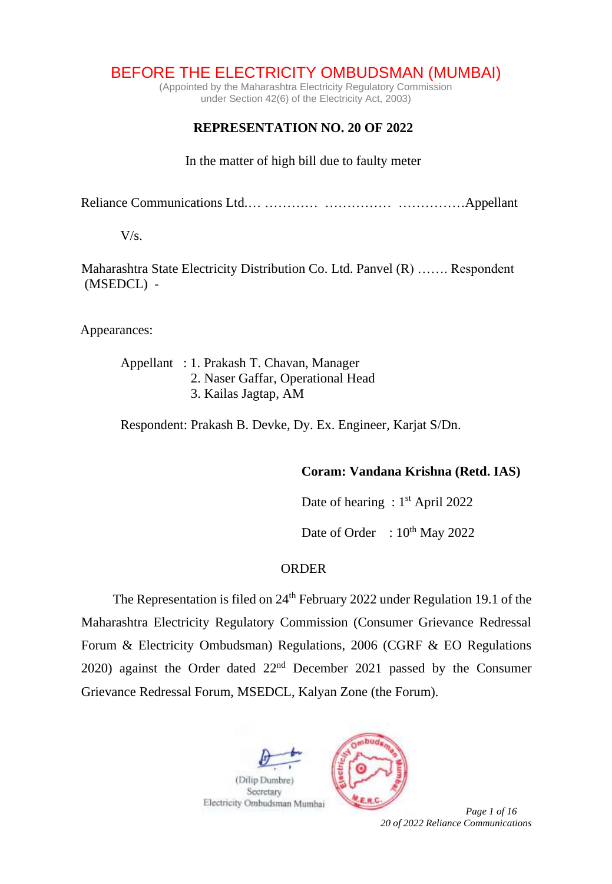# BEFORE THE ELECTRICITY OMBUDSMAN (MUMBAI)

(Appointed by the Maharashtra Electricity Regulatory Commission under Section 42(6) of the Electricity Act, 2003)

## **REPRESENTATION NO. 20 OF 2022**

In the matter of high bill due to faulty meter

Reliance Communications Ltd.… ………… …………… ……………Appellant

 $V/s$ .

Maharashtra State Electricity Distribution Co. Ltd. Panvel (R) ……. Respondent (MSEDCL) -

Appearances:

Appellant : 1. Prakash T. Chavan, Manager 2. Naser Gaffar, Operational Head 3. Kailas Jagtap, AM

Respondent: Prakash B. Devke, Dy. Ex. Engineer, Karjat S/Dn.

#### **Coram: Vandana Krishna (Retd. IAS)**

Date of hearing: 1<sup>st</sup> April 2022

Date of Order :  $10^{th}$  May 2022

#### **ORDER**

The Representation is filed on 24<sup>th</sup> February 2022 under Regulation 19.1 of the Maharashtra Electricity Regulatory Commission (Consumer Grievance Redressal Forum & Electricity Ombudsman) Regulations, 2006 (CGRF & EO Regulations 2020) against the Order dated 22nd December 2021 passed by the Consumer Grievance Redressal Forum, MSEDCL, Kalyan Zone (the Forum).



*20 of 2022 Reliance Communications*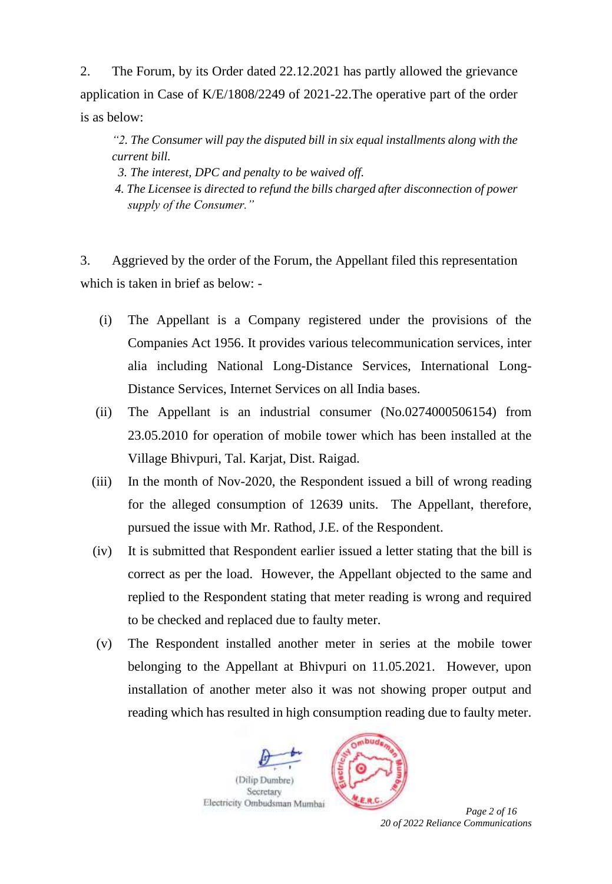2. The Forum, by its Order dated 22.12.2021 has partly allowed the grievance application in Case of K/E/1808/2249 of 2021-22.The operative part of the order is as below:

*"2. The Consumer will pay the disputed bill in six equal installments along with the current bill.*

 *3. The interest, DPC and penalty to be waived off.*

*4. The Licensee is directed to refund the bills charged after disconnection of power supply of the Consumer."*

3. Aggrieved by the order of the Forum, the Appellant filed this representation which is taken in brief as below: -

- (i) The Appellant is a Company registered under the provisions of the Companies Act 1956. It provides various telecommunication services, inter alia including National Long-Distance Services, International Long-Distance Services, Internet Services on all India bases.
- (ii) The Appellant is an industrial consumer (No.0274000506154) from 23.05.2010 for operation of mobile tower which has been installed at the Village Bhivpuri, Tal. Karjat, Dist. Raigad.
- (iii) In the month of Nov-2020, the Respondent issued a bill of wrong reading for the alleged consumption of 12639 units. The Appellant, therefore, pursued the issue with Mr. Rathod, J.E. of the Respondent.
- (iv) It is submitted that Respondent earlier issued a letter stating that the bill is correct as per the load. However, the Appellant objected to the same and replied to the Respondent stating that meter reading is wrong and required to be checked and replaced due to faulty meter.
- (v) The Respondent installed another meter in series at the mobile tower belonging to the Appellant at Bhivpuri on 11.05.2021. However, upon installation of another meter also it was not showing proper output and reading which has resulted in high consumption reading due to faulty meter.





*20 of 2022 Reliance Communications*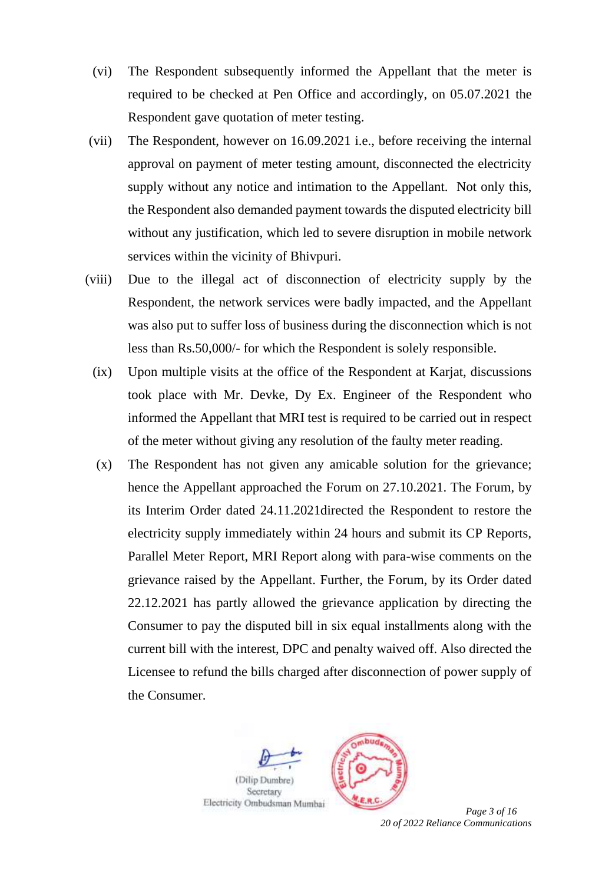- (vi) The Respondent subsequently informed the Appellant that the meter is required to be checked at Pen Office and accordingly, on 05.07.2021 the Respondent gave quotation of meter testing.
- (vii) The Respondent, however on 16.09.2021 i.e., before receiving the internal approval on payment of meter testing amount, disconnected the electricity supply without any notice and intimation to the Appellant. Not only this, the Respondent also demanded payment towards the disputed electricity bill without any justification, which led to severe disruption in mobile network services within the vicinity of Bhivpuri.
- (viii) Due to the illegal act of disconnection of electricity supply by the Respondent, the network services were badly impacted, and the Appellant was also put to suffer loss of business during the disconnection which is not less than Rs.50,000/- for which the Respondent is solely responsible.
	- (ix) Upon multiple visits at the office of the Respondent at Karjat, discussions took place with Mr. Devke, Dy Ex. Engineer of the Respondent who informed the Appellant that MRI test is required to be carried out in respect of the meter without giving any resolution of the faulty meter reading.
	- (x) The Respondent has not given any amicable solution for the grievance; hence the Appellant approached the Forum on 27.10.2021. The Forum, by its Interim Order dated 24.11.2021directed the Respondent to restore the electricity supply immediately within 24 hours and submit its CP Reports, Parallel Meter Report, MRI Report along with para-wise comments on the grievance raised by the Appellant. Further, the Forum, by its Order dated 22.12.2021 has partly allowed the grievance application by directing the Consumer to pay the disputed bill in six equal installments along with the current bill with the interest, DPC and penalty waived off. Also directed the Licensee to refund the bills charged after disconnection of power supply of the Consumer.



*20 of 2022 Reliance Communications*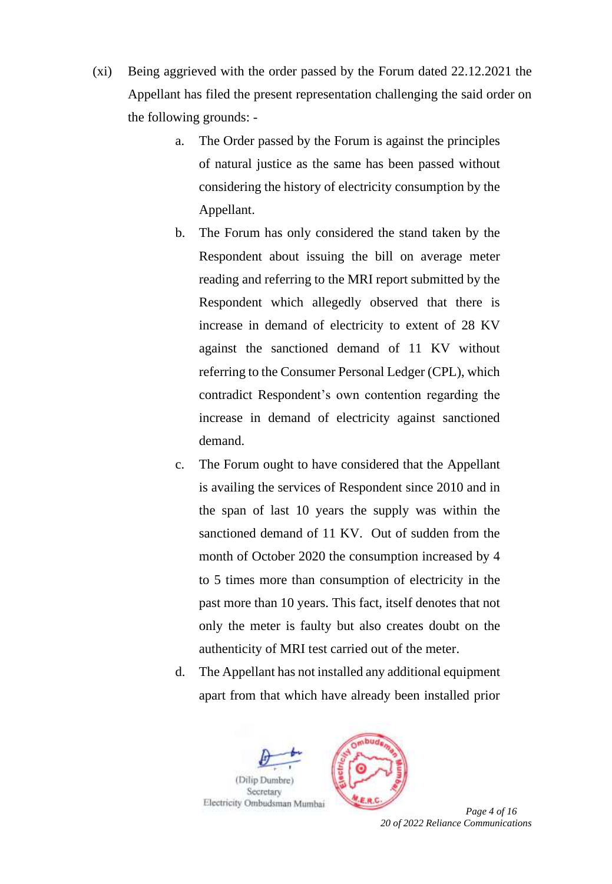- (xi) Being aggrieved with the order passed by the Forum dated 22.12.2021 the Appellant has filed the present representation challenging the said order on the following grounds:
	- a. The Order passed by the Forum is against the principles of natural justice as the same has been passed without considering the history of electricity consumption by the Appellant.
	- b. The Forum has only considered the stand taken by the Respondent about issuing the bill on average meter reading and referring to the MRI report submitted by the Respondent which allegedly observed that there is increase in demand of electricity to extent of 28 KV against the sanctioned demand of 11 KV without referring to the Consumer Personal Ledger (CPL), which contradict Respondent's own contention regarding the increase in demand of electricity against sanctioned demand.
	- c. The Forum ought to have considered that the Appellant is availing the services of Respondent since 2010 and in the span of last 10 years the supply was within the sanctioned demand of 11 KV. Out of sudden from the month of October 2020 the consumption increased by 4 to 5 times more than consumption of electricity in the past more than 10 years. This fact, itself denotes that not only the meter is faulty but also creates doubt on the authenticity of MRI test carried out of the meter.
	- d. The Appellant has not installed any additional equipment apart from that which have already been installed prior





*20 of 2022 Reliance Communications*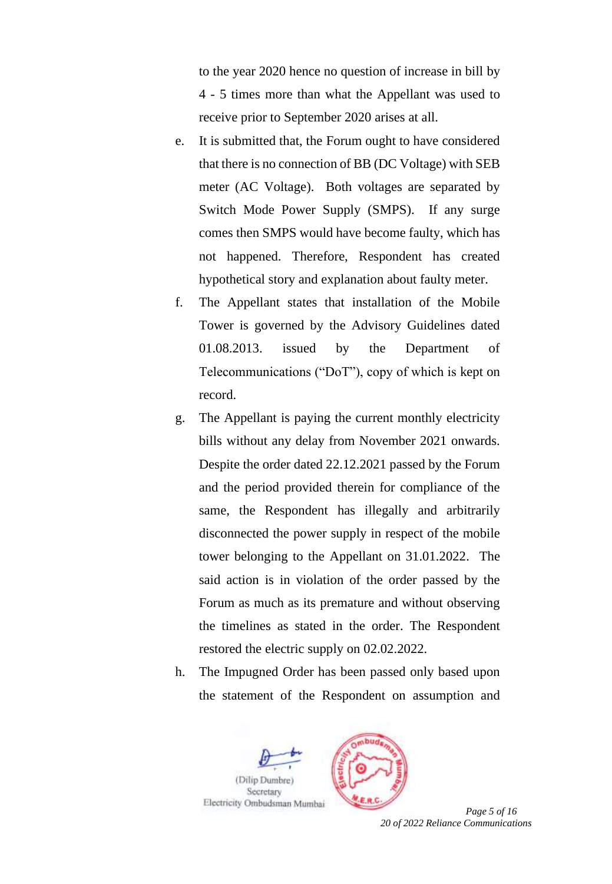to the year 2020 hence no question of increase in bill by 4 - 5 times more than what the Appellant was used to receive prior to September 2020 arises at all.

- e. It is submitted that, the Forum ought to have considered that there is no connection of BB (DC Voltage) with SEB meter (AC Voltage). Both voltages are separated by Switch Mode Power Supply (SMPS). If any surge comes then SMPS would have become faulty, which has not happened. Therefore, Respondent has created hypothetical story and explanation about faulty meter.
- f. The Appellant states that installation of the Mobile Tower is governed by the Advisory Guidelines dated 01.08.2013. issued by the Department of Telecommunications ("DoT"), copy of which is kept on record.
- g. The Appellant is paying the current monthly electricity bills without any delay from November 2021 onwards. Despite the order dated 22.12.2021 passed by the Forum and the period provided therein for compliance of the same, the Respondent has illegally and arbitrarily disconnected the power supply in respect of the mobile tower belonging to the Appellant on 31.01.2022. The said action is in violation of the order passed by the Forum as much as its premature and without observing the timelines as stated in the order. The Respondent restored the electric supply on 02.02.2022.
- h. The Impugned Order has been passed only based upon the statement of the Respondent on assumption and





*20 of 2022 Reliance Communications*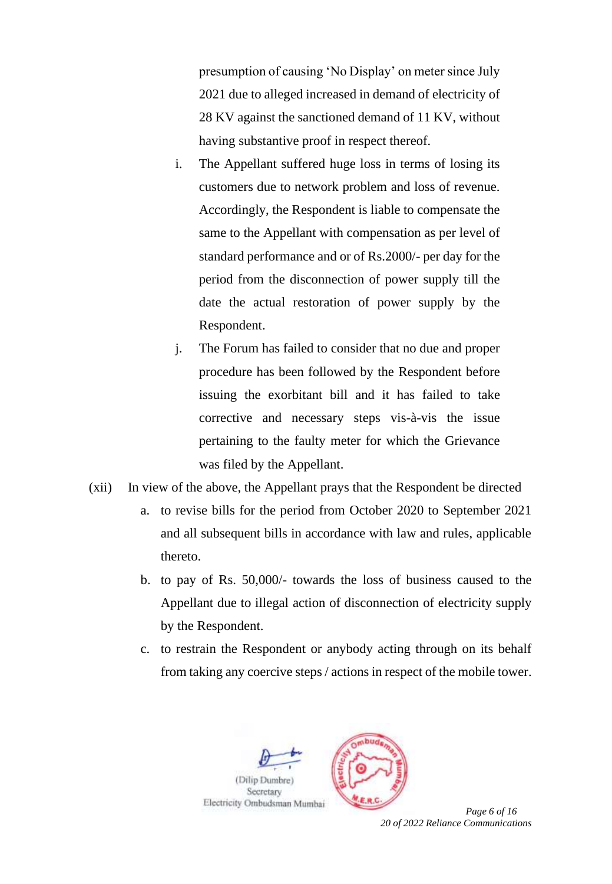presumption of causing 'No Display' on meter since July 2021 due to alleged increased in demand of electricity of 28 KV against the sanctioned demand of 11 KV, without having substantive proof in respect thereof.

- i. The Appellant suffered huge loss in terms of losing its customers due to network problem and loss of revenue. Accordingly, the Respondent is liable to compensate the same to the Appellant with compensation as per level of standard performance and or of Rs.2000/- per day for the period from the disconnection of power supply till the date the actual restoration of power supply by the Respondent.
- j. The Forum has failed to consider that no due and proper procedure has been followed by the Respondent before issuing the exorbitant bill and it has failed to take corrective and necessary steps vis-à-vis the issue pertaining to the faulty meter for which the Grievance was filed by the Appellant.
- (xii) In view of the above, the Appellant prays that the Respondent be directed
	- a. to revise bills for the period from October 2020 to September 2021 and all subsequent bills in accordance with law and rules, applicable thereto.
	- b. to pay of Rs. 50,000/- towards the loss of business caused to the Appellant due to illegal action of disconnection of electricity supply by the Respondent.
	- c. to restrain the Respondent or anybody acting through on its behalf from taking any coercive steps / actions in respect of the mobile tower.



*20 of 2022 Reliance Communications*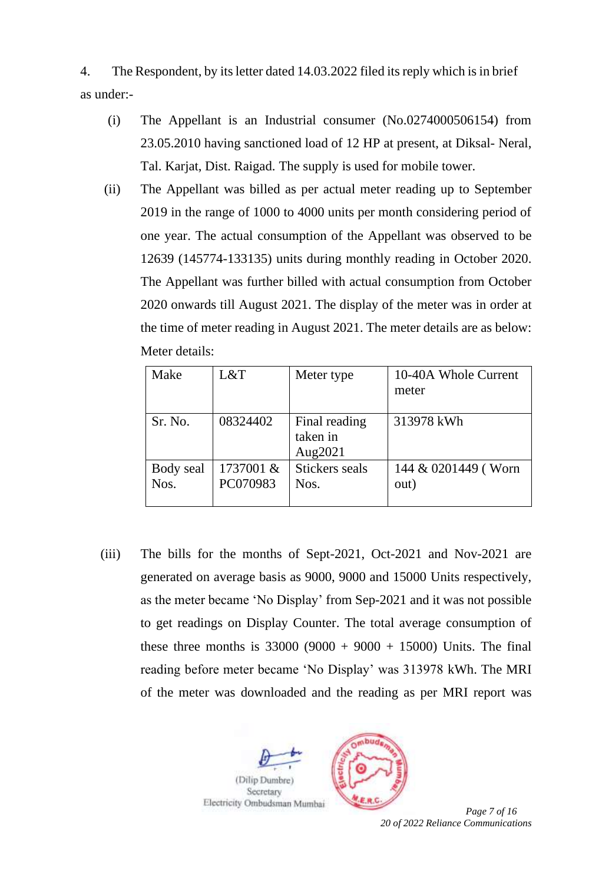4. The Respondent, by its letter dated 14.03.2022 filed its reply which is in brief as under:-

- (i) The Appellant is an Industrial consumer (No.0274000506154) from 23.05.2010 having sanctioned load of 12 HP at present, at Diksal- Neral, Tal. Karjat, Dist. Raigad. The supply is used for mobile tower.
- (ii) The Appellant was billed as per actual meter reading up to September 2019 in the range of 1000 to 4000 units per month considering period of one year. The actual consumption of the Appellant was observed to be 12639 (145774-133135) units during monthly reading in October 2020. The Appellant was further billed with actual consumption from October 2020 onwards till August 2021. The display of the meter was in order at the time of meter reading in August 2021. The meter details are as below: Meter details:

| Make      | L&T       | Meter type     | 10-40A Whole Current |  |
|-----------|-----------|----------------|----------------------|--|
|           |           |                | meter                |  |
|           |           |                |                      |  |
| Sr. No.   | 08324402  | Final reading  | 313978 kWh           |  |
|           |           | taken in       |                      |  |
|           |           | Aug2021        |                      |  |
| Body seal | 1737001 & | Stickers seals | 144 & 0201449 (Worn  |  |
| Nos.      | PC070983  | Nos.           | out)                 |  |
|           |           |                |                      |  |

(iii) The bills for the months of Sept-2021, Oct-2021 and Nov-2021 are generated on average basis as 9000, 9000 and 15000 Units respectively, as the meter became 'No Display' from Sep-2021 and it was not possible to get readings on Display Counter. The total average consumption of these three months is  $33000 (9000 + 9000 + 15000)$  Units. The final reading before meter became 'No Display' was 313978 kWh. The MRI of the meter was downloaded and the reading as per MRI report was



*20 of 2022 Reliance Communications*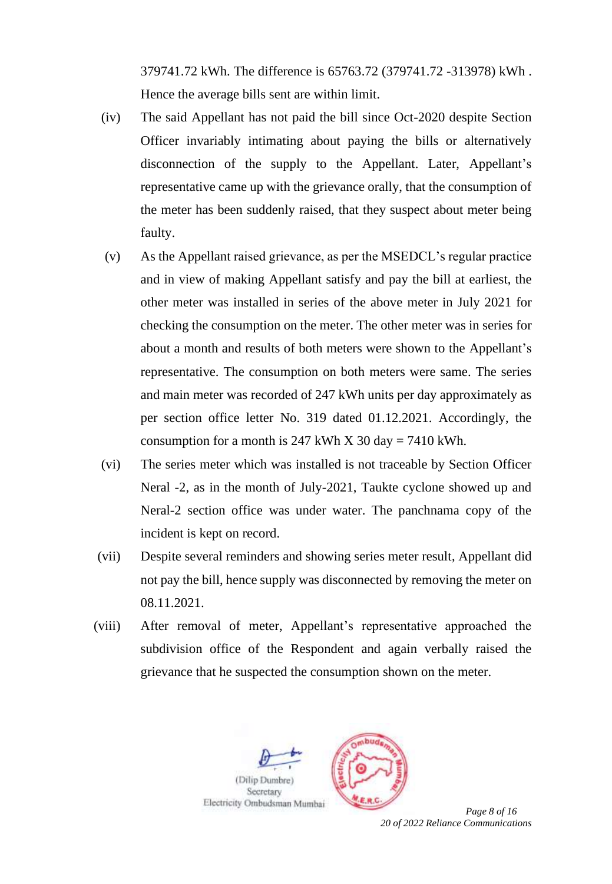379741.72 kWh. The difference is 65763.72 (379741.72 -313978) kWh . Hence the average bills sent are within limit.

- (iv) The said Appellant has not paid the bill since Oct-2020 despite Section Officer invariably intimating about paying the bills or alternatively disconnection of the supply to the Appellant. Later, Appellant's representative came up with the grievance orally, that the consumption of the meter has been suddenly raised, that they suspect about meter being faulty.
- (v) As the Appellant raised grievance, as per the MSEDCL's regular practice and in view of making Appellant satisfy and pay the bill at earliest, the other meter was installed in series of the above meter in July 2021 for checking the consumption on the meter. The other meter was in series for about a month and results of both meters were shown to the Appellant's representative. The consumption on both meters were same. The series and main meter was recorded of 247 kWh units per day approximately as per section office letter No. 319 dated 01.12.2021. Accordingly, the consumption for a month is 247 kWh X 30 day = 7410 kWh.
- (vi) The series meter which was installed is not traceable by Section Officer Neral -2, as in the month of July-2021, Taukte cyclone showed up and Neral-2 section office was under water. The panchnama copy of the incident is kept on record.
- (vii) Despite several reminders and showing series meter result, Appellant did not pay the bill, hence supply was disconnected by removing the meter on 08.11.2021.
- (viii) After removal of meter, Appellant's representative approached the subdivision office of the Respondent and again verbally raised the grievance that he suspected the consumption shown on the meter.



*20 of 2022 Reliance Communications*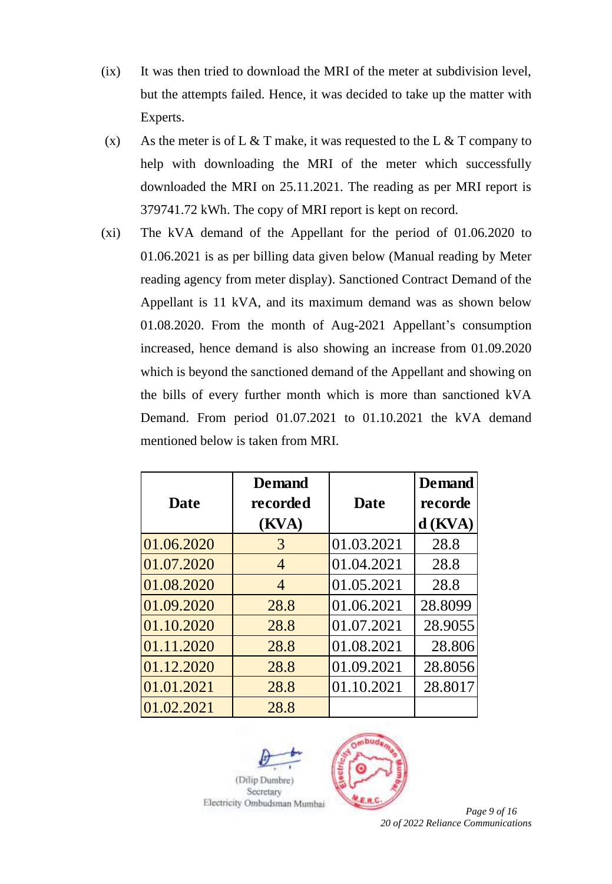- (ix) It was then tried to download the MRI of the meter at subdivision level, but the attempts failed. Hence, it was decided to take up the matter with Experts.
- (x) As the meter is of L  $&$  T make, it was requested to the L  $&$  T company to help with downloading the MRI of the meter which successfully downloaded the MRI on 25.11.2021. The reading as per MRI report is 379741.72 kWh. The copy of MRI report is kept on record.
- (xi) The kVA demand of the Appellant for the period of 01.06.2020 to 01.06.2021 is as per billing data given below (Manual reading by Meter reading agency from meter display). Sanctioned Contract Demand of the Appellant is 11 kVA, and its maximum demand was as shown below 01.08.2020. From the month of Aug-2021 Appellant's consumption increased, hence demand is also showing an increase from 01.09.2020 which is beyond the sanctioned demand of the Appellant and showing on the bills of every further month which is more than sanctioned kVA Demand. From period 01.07.2021 to 01.10.2021 the kVA demand mentioned below is taken from MRI.

|             | <b>Demand</b>  |             | <b>Demand</b> |
|-------------|----------------|-------------|---------------|
| <b>Date</b> | recorded       | <b>Date</b> | recorde       |
|             | (KVA)          |             | $d$ (KVA)     |
| 01.06.2020  | 3              | 01.03.2021  | 28.8          |
| 01.07.2020  | $\overline{4}$ | 01.04.2021  | 28.8          |
| 01.08.2020  | $\overline{4}$ | 01.05.2021  | 28.8          |
| 01.09.2020  | 28.8           | 01.06.2021  | 28.8099       |
| 01.10.2020  | 28.8           | 01.07.2021  | 28.9055       |
| 01.11.2020  | 28.8           | 01.08.2021  | 28.806        |
| 01.12.2020  | 28.8           | 01.09.2021  | 28.8056       |
| 01.01.2021  | 28.8           | 01.10.2021  | 28.8017       |
| 01.02.2021  | 28.8           |             |               |





 *Page 9 of 16 20 of 2022 Reliance Communications*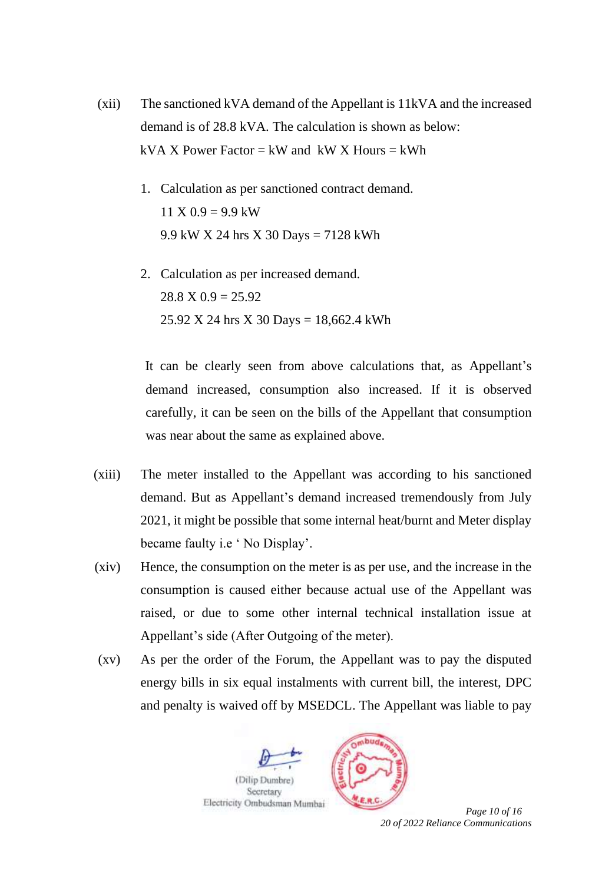- (xii) The sanctioned kVA demand of the Appellant is 11kVA and the increased demand is of 28.8 kVA. The calculation is shown as below: kVA X Power Factor = kW and kW X Hours = kWh
	- 1. Calculation as per sanctioned contract demand.  $11 X 0.9 = 9.9$  kW 9.9 kW X 24 hrs X 30 Days = 7128 kWh
	- 2. Calculation as per increased demand.  $28.8 \text{ X } 0.9 = 25.92$ 25.92 X 24 hrs X 30 Days = 18,662.4 kWh

It can be clearly seen from above calculations that, as Appellant's demand increased, consumption also increased. If it is observed carefully, it can be seen on the bills of the Appellant that consumption was near about the same as explained above.

- (xiii) The meter installed to the Appellant was according to his sanctioned demand. But as Appellant's demand increased tremendously from July 2021, it might be possible that some internal heat/burnt and Meter display became faulty i.e ' No Display'.
- (xiv) Hence, the consumption on the meter is as per use, and the increase in the consumption is caused either because actual use of the Appellant was raised, or due to some other internal technical installation issue at Appellant's side (After Outgoing of the meter).
- (xv) As per the order of the Forum, the Appellant was to pay the disputed energy bills in six equal instalments with current bill, the interest, DPC and penalty is waived off by MSEDCL. The Appellant was liable to pay



*20 of 2022 Reliance Communications*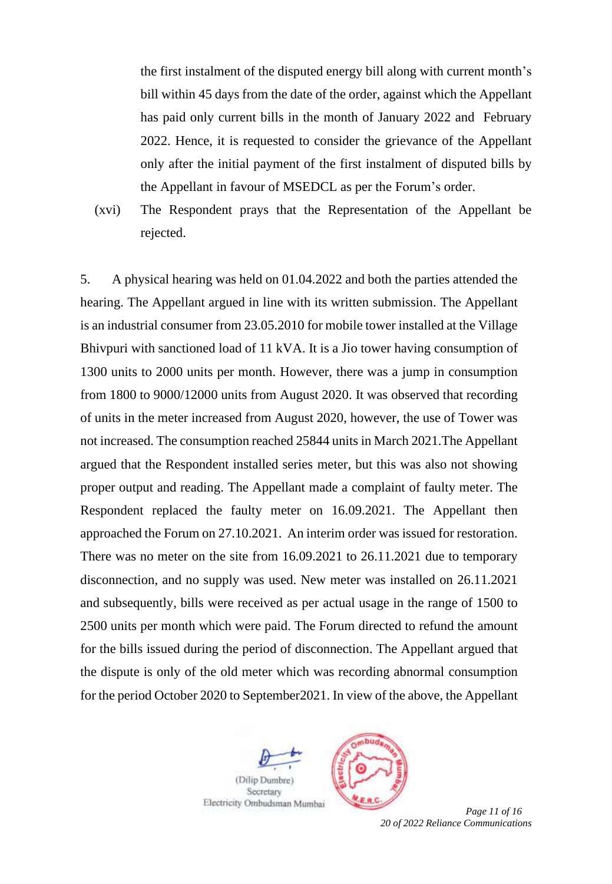the first instalment of the disputed energy bill along with current month's bill within 45 days from the date of the order, against which the Appellant has paid only current bills in the month of January 2022 and February 2022. Hence, it is requested to consider the grievance of the Appellant only after the initial payment of the first instalment of disputed bills by the Appellant in favour of MSEDCL as per the Forum's order.

(xvi) The Respondent prays that the Representation of the Appellant be rejected.

5. A physical hearing was held on 01.04.2022 and both the parties attended the hearing. The Appellant argued in line with its written submission. The Appellant is an industrial consumer from 23.05.2010 for mobile tower installed at the Village Bhivpuri with sanctioned load of 11 kVA. It is a Jio tower having consumption of 1300 units to 2000 units per month. However, there was a jump in consumption from 1800 to 9000/12000 units from August 2020. It was observed that recording of units in the meter increased from August 2020, however, the use of Tower was not increased. The consumption reached 25844 units in March 2021.The Appellant argued that the Respondent installed series meter, but this was also not showing proper output and reading. The Appellant made a complaint of faulty meter. The Respondent replaced the faulty meter on 16.09.2021. The Appellant then approached the Forum on 27.10.2021. An interim order was issued for restoration. There was no meter on the site from 16.09.2021 to 26.11.2021 due to temporary disconnection, and no supply was used. New meter was installed on 26.11.2021 and subsequently, bills were received as per actual usage in the range of 1500 to 2500 units per month which were paid. The Forum directed to refund the amount for the bills issued during the period of disconnection. The Appellant argued that the dispute is only of the old meter which was recording abnormal consumption for the period October 2020 to September2021. In view of the above, the Appellant





*20 of 2022 Reliance Communications*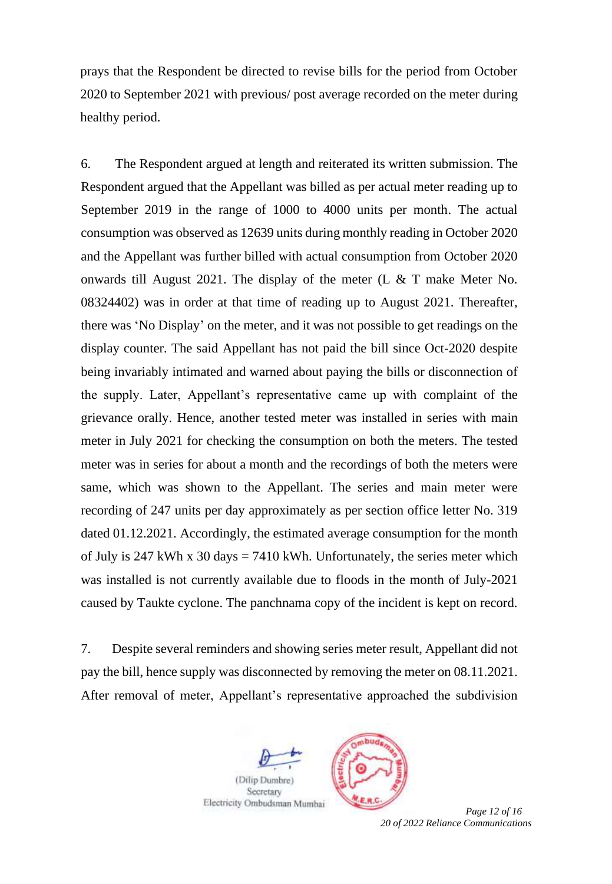prays that the Respondent be directed to revise bills for the period from October 2020 to September 2021 with previous/ post average recorded on the meter during healthy period.

6. The Respondent argued at length and reiterated its written submission. The Respondent argued that the Appellant was billed as per actual meter reading up to September 2019 in the range of 1000 to 4000 units per month. The actual consumption was observed as 12639 units during monthly reading in October 2020 and the Appellant was further billed with actual consumption from October 2020 onwards till August 2021. The display of the meter (L & T make Meter No. 08324402) was in order at that time of reading up to August 2021. Thereafter, there was 'No Display' on the meter, and it was not possible to get readings on the display counter. The said Appellant has not paid the bill since Oct-2020 despite being invariably intimated and warned about paying the bills or disconnection of the supply. Later, Appellant's representative came up with complaint of the grievance orally. Hence, another tested meter was installed in series with main meter in July 2021 for checking the consumption on both the meters. The tested meter was in series for about a month and the recordings of both the meters were same, which was shown to the Appellant. The series and main meter were recording of 247 units per day approximately as per section office letter No. 319 dated 01.12.2021. Accordingly, the estimated average consumption for the month of July is 247 kWh x 30 days  $= 7410$  kWh. Unfortunately, the series meter which was installed is not currently available due to floods in the month of July-2021 caused by Taukte cyclone. The panchnama copy of the incident is kept on record.

7. Despite several reminders and showing series meter result, Appellant did not pay the bill, hence supply was disconnected by removing the meter on 08.11.2021. After removal of meter, Appellant's representative approached the subdivision





**Page 12** of 16 *20 of 2022 Reliance Communications*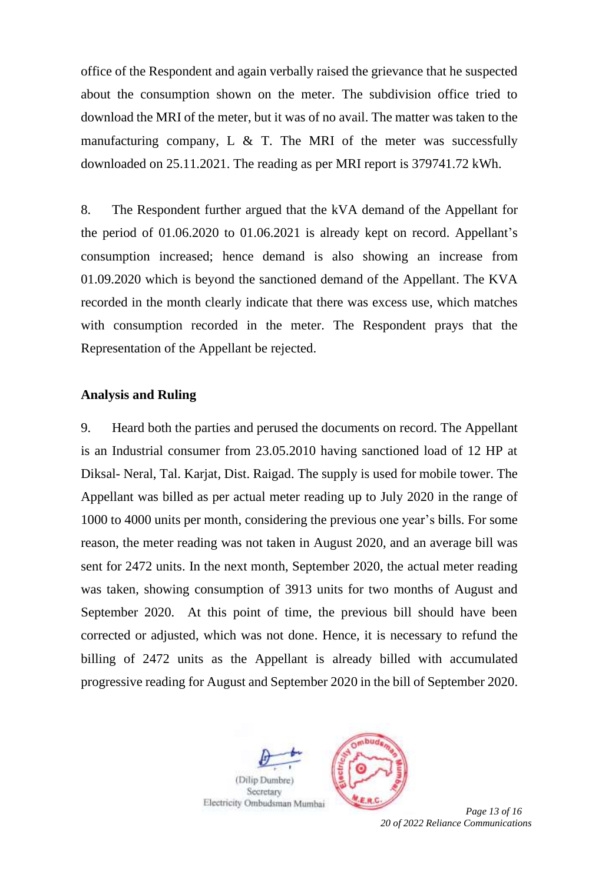office of the Respondent and again verbally raised the grievance that he suspected about the consumption shown on the meter. The subdivision office tried to download the MRI of the meter, but it was of no avail. The matter was taken to the manufacturing company, L  $\&$  T. The MRI of the meter was successfully downloaded on 25.11.2021. The reading as per MRI report is 379741.72 kWh.

8. The Respondent further argued that the kVA demand of the Appellant for the period of 01.06.2020 to 01.06.2021 is already kept on record. Appellant's consumption increased; hence demand is also showing an increase from 01.09.2020 which is beyond the sanctioned demand of the Appellant. The KVA recorded in the month clearly indicate that there was excess use, which matches with consumption recorded in the meter. The Respondent prays that the Representation of the Appellant be rejected.

### **Analysis and Ruling**

9. Heard both the parties and perused the documents on record. The Appellant is an Industrial consumer from 23.05.2010 having sanctioned load of 12 HP at Diksal- Neral, Tal. Karjat, Dist. Raigad. The supply is used for mobile tower. The Appellant was billed as per actual meter reading up to July 2020 in the range of 1000 to 4000 units per month, considering the previous one year's bills. For some reason, the meter reading was not taken in August 2020, and an average bill was sent for 2472 units. In the next month, September 2020, the actual meter reading was taken, showing consumption of 3913 units for two months of August and September 2020. At this point of time, the previous bill should have been corrected or adjusted, which was not done. Hence, it is necessary to refund the billing of 2472 units as the Appellant is already billed with accumulated progressive reading for August and September 2020 in the bill of September 2020.



*20 of 2022 Reliance Communications*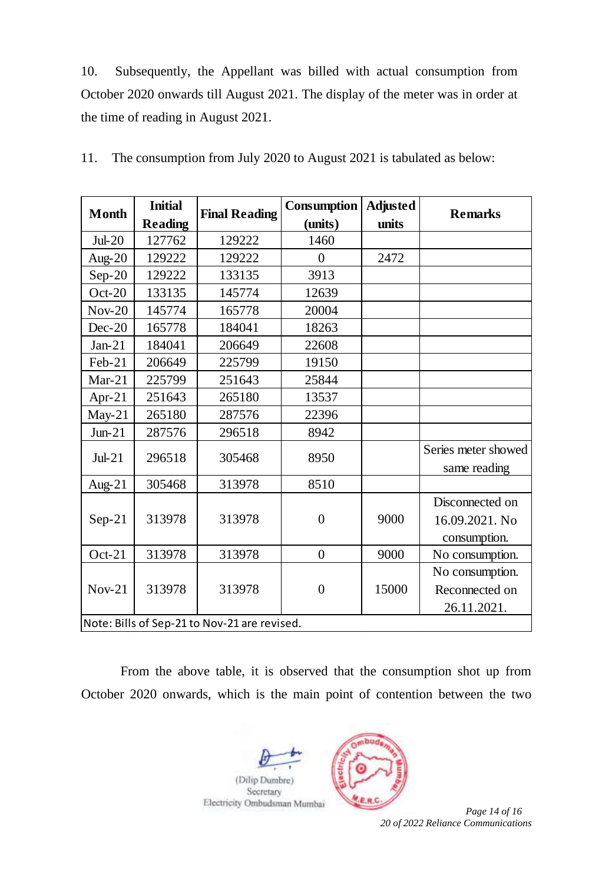10. Subsequently, the Appellant was billed with actual consumption from October 2020 onwards till August 2021. The display of the meter was in order at the time of reading in August 2021.

| <b>Month</b> | <b>Initial</b>                               | <b>Final Reading</b> | Consumption      | <b>Adjusted</b> | <b>Remarks</b>      |  |  |
|--------------|----------------------------------------------|----------------------|------------------|-----------------|---------------------|--|--|
|              | <b>Reading</b>                               |                      | (units)          | units           |                     |  |  |
| $Jul-20$     | 127762                                       | 129222               | 1460             |                 |                     |  |  |
| Aug- $20$    | 129222                                       | 129222               | $\overline{0}$   | 2472            |                     |  |  |
| $Sep-20$     | 129222                                       | 133135               | 3913             |                 |                     |  |  |
| $Oct-20$     | 133135                                       | 145774               | 12639            |                 |                     |  |  |
| $Nov-20$     | 145774                                       | 165778               | 20004            |                 |                     |  |  |
| $Dec-20$     | 165778                                       | 184041               | 18263            |                 |                     |  |  |
| $Jan-21$     | 184041                                       | 206649               | 22608            |                 |                     |  |  |
| Feb-21       | 206649                                       | 225799               | 19150            |                 |                     |  |  |
| $Mar-21$     | 225799                                       | 251643               | 25844            |                 |                     |  |  |
| Apr-21       | 251643                                       | 265180               | 13537            |                 |                     |  |  |
| $May-21$     | 265180                                       | 287576               | 22396            |                 |                     |  |  |
| $Jun-21$     | 287576                                       | 296518               | 8942             |                 |                     |  |  |
| $Jul-21$     | 296518                                       | 305468               | 8950             |                 | Series meter showed |  |  |
|              |                                              |                      |                  |                 | same reading        |  |  |
| Aug- $21$    | 305468                                       | 313978               | 8510             |                 |                     |  |  |
|              |                                              |                      |                  |                 | Disconnected on     |  |  |
| $Sep-21$     | 313978                                       | 313978               | $\boldsymbol{0}$ | 9000            | 16.09.2021. No      |  |  |
|              |                                              |                      |                  |                 | consumption.        |  |  |
| $Oct-21$     | 313978                                       | 313978               | $\overline{0}$   | 9000            | No consumption.     |  |  |
|              |                                              |                      |                  |                 | No consumption.     |  |  |
| $Nov-21$     | 313978                                       | 313978               | $\overline{0}$   | 15000           | Reconnected on      |  |  |
|              |                                              |                      |                  |                 | 26.11.2021.         |  |  |
|              | Note: Bills of Sep-21 to Nov-21 are revised. |                      |                  |                 |                     |  |  |

11. The consumption from July 2020 to August 2021 is tabulated as below:

From the above table, it is observed that the consumption shot up from October 2020 onwards, which is the main point of contention between the two





*20 of 2022 Reliance Communications*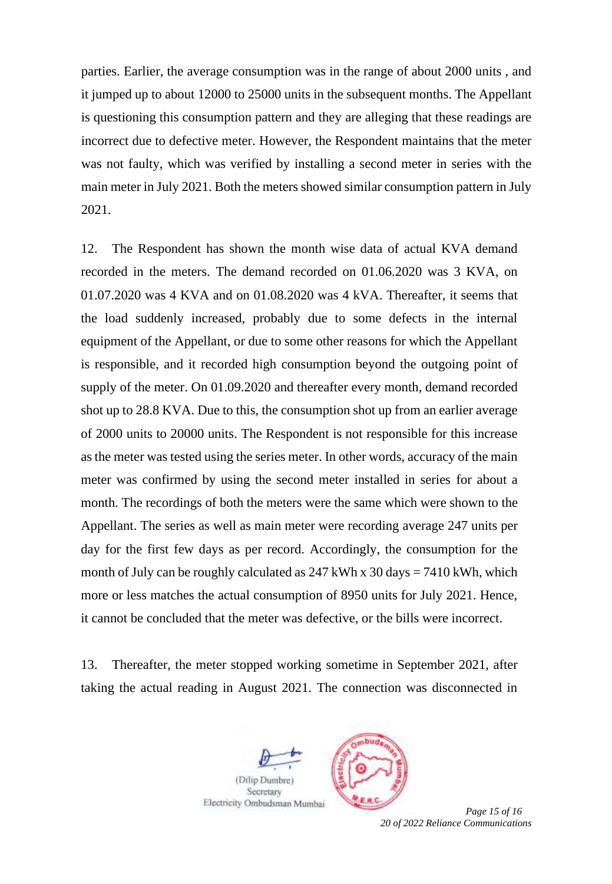parties. Earlier, the average consumption was in the range of about 2000 units , and it jumped up to about 12000 to 25000 units in the subsequent months. The Appellant is questioning this consumption pattern and they are alleging that these readings are incorrect due to defective meter. However, the Respondent maintains that the meter was not faulty, which was verified by installing a second meter in series with the main meter in July 2021. Both the meters showed similar consumption pattern in July 2021.

12. The Respondent has shown the month wise data of actual KVA demand recorded in the meters. The demand recorded on 01.06.2020 was 3 KVA, on 01.07.2020 was 4 KVA and on 01.08.2020 was 4 kVA. Thereafter, it seems that the load suddenly increased, probably due to some defects in the internal equipment of the Appellant, or due to some other reasons for which the Appellant is responsible, and it recorded high consumption beyond the outgoing point of supply of the meter. On 01.09.2020 and thereafter every month, demand recorded shot up to 28.8 KVA. Due to this, the consumption shot up from an earlier average of 2000 units to 20000 units. The Respondent is not responsible for this increase as the meter was tested using the series meter. In other words, accuracy of the main meter was confirmed by using the second meter installed in series for about a month. The recordings of both the meters were the same which were shown to the Appellant. The series as well as main meter were recording average 247 units per day for the first few days as per record. Accordingly, the consumption for the month of July can be roughly calculated as  $247$  kWh x  $30$  days =  $7410$  kWh, which more or less matches the actual consumption of 8950 units for July 2021. Hence, it cannot be concluded that the meter was defective, or the bills were incorrect.

13. Thereafter, the meter stopped working sometime in September 2021, after taking the actual reading in August 2021. The connection was disconnected in





*20 of 2022 Reliance Communications*